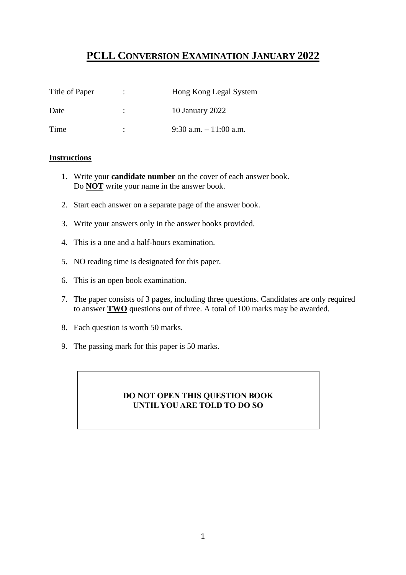# **PCLL CONVERSION EXAMINATION JANUARY 2022**

| Title of Paper | $\ddot{\phantom{0}}$ | Hong Kong Legal System  |
|----------------|----------------------|-------------------------|
| Date           | ٠                    | 10 January 2022         |
| Time           | ٠                    | 9:30 a.m. $-11:00$ a.m. |

### **Instructions**

- 1. Write your **candidate number** on the cover of each answer book. Do **NOT** write your name in the answer book.
- 2. Start each answer on a separate page of the answer book.
- 3. Write your answers only in the answer books provided.
- 4. This is a one and a half-hours examination.
- 5. NO reading time is designated for this paper.
- 6. This is an open book examination.
- 7. The paper consists of 3 pages, including three questions. Candidates are only required to answer **TWO** questions out of three. A total of 100 marks may be awarded.
- 8. Each question is worth 50 marks.
- 9. The passing mark for this paper is 50 marks.

### **DO NOT OPEN THIS QUESTION BOOK UNTIL YOU ARE TOLD TO DO SO**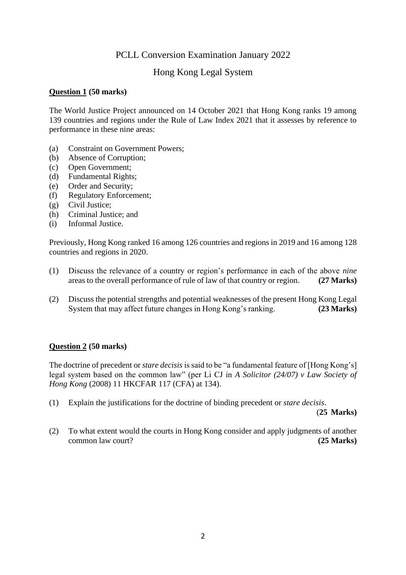## PCLL Conversion Examination January 2022

## Hong Kong Legal System

### **Question 1 (50 marks)**

The World Justice Project announced on 14 October 2021 that Hong Kong ranks 19 among 139 countries and regions under the Rule of Law Index 2021 that it assesses by reference to performance in these nine areas:

- (a) Constraint on Government Powers;
- (b) Absence of Corruption;
- (c) Open Government;
- (d) Fundamental Rights;
- (e) Order and Security;
- (f) Regulatory Enforcement;
- (g) Civil Justice;
- (h) Criminal Justice; and
- (i) Informal Justice.

Previously, Hong Kong ranked 16 among 126 countries and regions in 2019 and 16 among 128 countries and regions in 2020.

- (1) Discuss the relevance of a country or region's performance in each of the above *nine* areas to the overall performance of rule of law of that country or region. **(27 Marks)**
- (2) Discuss the potential strengths and potential weaknesses of the present Hong Kong Legal System that may affect future changes in Hong Kong's ranking. **(23 Marks)**

#### **Question 2 (50 marks)**

The doctrine of precedent or *stare decisis* is said to be "a fundamental feature of [Hong Kong's] legal system based on the common law" (per Li CJ in *A Solicitor (24/07) v Law Society of Hong Kong* (2008) 11 HKCFAR 117 (CFA) at 134).

(1) Explain the justifications for the doctrine of binding precedent or *stare decisis*.

(**25 Marks)**

(2) To what extent would the courts in Hong Kong consider and apply judgments of another common law court? **(25 Marks)**